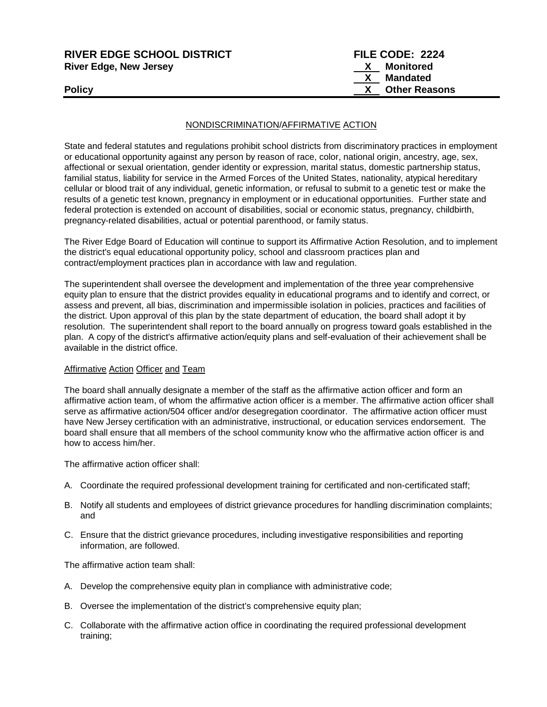| <b>RIVER EDGE SCHOOL DISTRICT</b> | FILE CODE: 2224                   |                      |
|-----------------------------------|-----------------------------------|----------------------|
| River Edge, New Jersey            | and the control of the control of | <b>X</b> Monitored   |
|                                   | X                                 | Mandated             |
| <b>Policy</b>                     |                                   | <b>Other Reasons</b> |
|                                   |                                   |                      |

## NONDISCRIMINATION/AFFIRMATIVE ACTION

State and federal statutes and regulations prohibit school districts from discriminatory practices in employment or educational opportunity against any person by reason of race, color, national origin, ancestry, age, sex, affectional or sexual orientation, gender identity or expression, marital status, domestic partnership status, familial status, liability for service in the Armed Forces of the United States, nationality, atypical hereditary cellular or blood trait of any individual, genetic information, or refusal to submit to a genetic test or make the results of a genetic test known, pregnancy in employment or in educational opportunities. Further state and federal protection is extended on account of disabilities, social or economic status, pregnancy, childbirth, pregnancy-related disabilities, actual or potential parenthood, or family status.

The River Edge Board of Education will continue to support its Affirmative Action Resolution, and to implement the district's equal educational opportunity policy, school and classroom practices plan and contract/employment practices plan in accordance with law and regulation.

The superintendent shall oversee the development and implementation of the three year comprehensive equity plan to ensure that the district provides equality in educational programs and to identify and correct, or assess and prevent, all bias, discrimination and impermissible isolation in policies, practices and facilities of the district. Upon approval of this plan by the state department of education, the board shall adopt it by resolution. The superintendent shall report to the board annually on progress toward goals established in the plan. A copy of the district's affirmative action/equity plans and self-evaluation of their achievement shall be available in the district office.

### Affirmative Action Officer and Team

The board shall annually designate a member of the staff as the affirmative action officer and form an affirmative action team, of whom the affirmative action officer is a member. The affirmative action officer shall serve as affirmative action/504 officer and/or desegregation coordinator. The affirmative action officer must have New Jersey certification with an administrative, instructional, or education services endorsement. The board shall ensure that all members of the school community know who the affirmative action officer is and how to access him/her.

The affirmative action officer shall:

- A. Coordinate the required professional development training for certificated and non-certificated staff;
- B. Notify all students and employees of district grievance procedures for handling discrimination complaints; and
- C. Ensure that the district grievance procedures, including investigative responsibilities and reporting information, are followed.

The affirmative action team shall:

- A. Develop the comprehensive equity plan in compliance with administrative code;
- B. Oversee the implementation of the district's comprehensive equity plan;
- C. Collaborate with the affirmative action office in coordinating the required professional development training;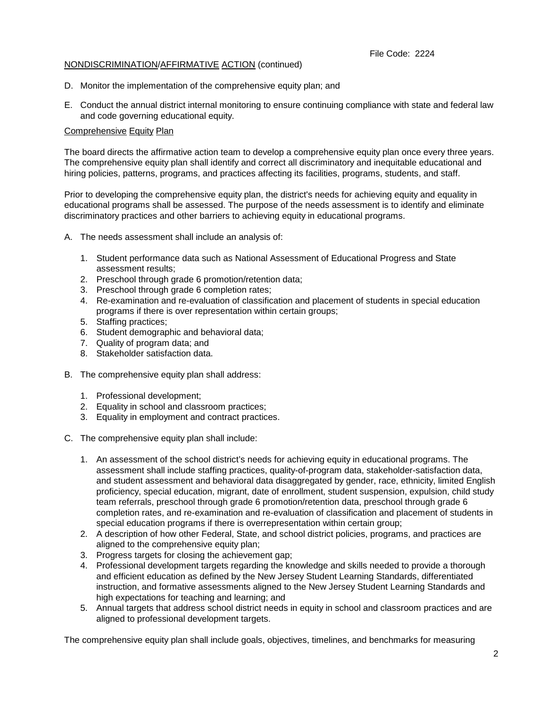## File Code: 2224

## NONDISCRIMINATION/AFFIRMATIVE ACTION (continued)

- D. Monitor the implementation of the comprehensive equity plan; and
- E. Conduct the annual district internal monitoring to ensure continuing compliance with state and federal law and code governing educational equity.

## Comprehensive Equity Plan

The board directs the affirmative action team to develop a comprehensive equity plan once every three years. The comprehensive equity plan shall identify and correct all discriminatory and inequitable educational and hiring policies, patterns, programs, and practices affecting its facilities, programs, students, and staff.

Prior to developing the comprehensive equity plan, the district's needs for achieving equity and equality in educational programs shall be assessed. The purpose of the needs assessment is to identify and eliminate discriminatory practices and other barriers to achieving equity in educational programs.

- A. The needs assessment shall include an analysis of:
	- 1. Student performance data such as National Assessment of Educational Progress and State assessment results;
	- 2. Preschool through grade 6 promotion/retention data;
	- 3. Preschool through grade 6 completion rates;
	- 4. Re-examination and re-evaluation of classification and placement of students in special education programs if there is over representation within certain groups;
	- 5. Staffing practices;
	- 6. Student demographic and behavioral data;
	- 7. Quality of program data; and
	- 8. Stakeholder satisfaction data.
- B. The comprehensive equity plan shall address:
	- 1. Professional development;
	- 2. Equality in school and classroom practices;
	- 3. Equality in employment and contract practices.
- C. The comprehensive equity plan shall include:
	- 1. An assessment of the school district's needs for achieving equity in educational programs. The assessment shall include staffing practices, quality-of-program data, stakeholder-satisfaction data, and student assessment and behavioral data disaggregated by gender, race, ethnicity, limited English proficiency, special education, migrant, date of enrollment, student suspension, expulsion, child study team referrals, preschool through grade 6 promotion/retention data, preschool through grade 6 completion rates, and re-examination and re-evaluation of classification and placement of students in special education programs if there is overrepresentation within certain group;
	- 2. A description of how other Federal, State, and school district policies, programs, and practices are aligned to the comprehensive equity plan;
	- 3. Progress targets for closing the achievement gap;
	- 4. Professional development targets regarding the knowledge and skills needed to provide a thorough and efficient education as defined by the New Jersey Student Learning Standards, differentiated instruction, and formative assessments aligned to the New Jersey Student Learning Standards and high expectations for teaching and learning; and
	- 5. Annual targets that address school district needs in equity in school and classroom practices and are aligned to professional development targets.

The comprehensive equity plan shall include goals, objectives, timelines, and benchmarks for measuring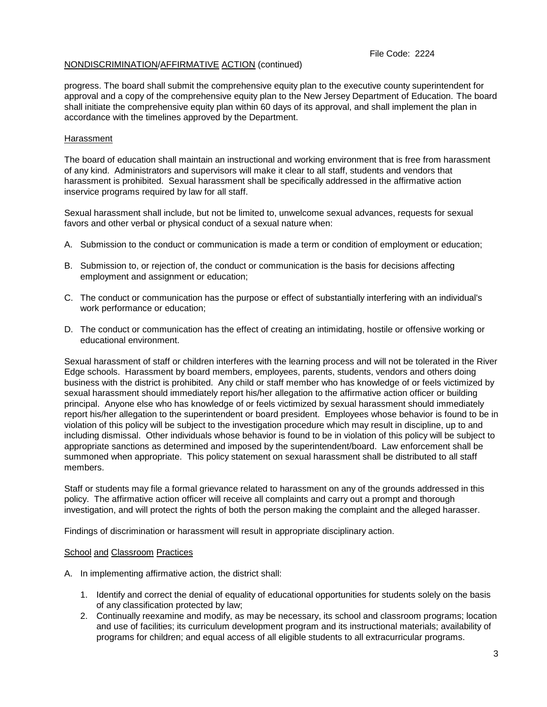## File Code: 2224

## NONDISCRIMINATION/AFFIRMATIVE ACTION (continued)

progress. The board shall submit the comprehensive equity plan to the executive county superintendent for approval and a copy of the comprehensive equity plan to the New Jersey Department of Education. The board shall initiate the comprehensive equity plan within 60 days of its approval, and shall implement the plan in accordance with the timelines approved by the Department.

## Harassment

The board of education shall maintain an instructional and working environment that is free from harassment of any kind. Administrators and supervisors will make it clear to all staff, students and vendors that harassment is prohibited. Sexual harassment shall be specifically addressed in the affirmative action inservice programs required by law for all staff.

Sexual harassment shall include, but not be limited to, unwelcome sexual advances, requests for sexual favors and other verbal or physical conduct of a sexual nature when:

- A. Submission to the conduct or communication is made a term or condition of employment or education;
- B. Submission to, or rejection of, the conduct or communication is the basis for decisions affecting employment and assignment or education;
- C. The conduct or communication has the purpose or effect of substantially interfering with an individual's work performance or education;
- D. The conduct or communication has the effect of creating an intimidating, hostile or offensive working or educational environment.

Sexual harassment of staff or children interferes with the learning process and will not be tolerated in the River Edge schools. Harassment by board members, employees, parents, students, vendors and others doing business with the district is prohibited. Any child or staff member who has knowledge of or feels victimized by sexual harassment should immediately report his/her allegation to the affirmative action officer or building principal. Anyone else who has knowledge of or feels victimized by sexual harassment should immediately report his/her allegation to the superintendent or board president. Employees whose behavior is found to be in violation of this policy will be subject to the investigation procedure which may result in discipline, up to and including dismissal. Other individuals whose behavior is found to be in violation of this policy will be subject to appropriate sanctions as determined and imposed by the superintendent/board. Law enforcement shall be summoned when appropriate. This policy statement on sexual harassment shall be distributed to all staff members.

Staff or students may file a formal grievance related to harassment on any of the grounds addressed in this policy. The affirmative action officer will receive all complaints and carry out a prompt and thorough investigation, and will protect the rights of both the person making the complaint and the alleged harasser.

Findings of discrimination or harassment will result in appropriate disciplinary action.

### School and Classroom Practices

- A. In implementing affirmative action, the district shall:
	- 1. Identify and correct the denial of equality of educational opportunities for students solely on the basis of any classification protected by law;
	- 2. Continually reexamine and modify, as may be necessary, its school and classroom programs; location and use of facilities; its curriculum development program and its instructional materials; availability of programs for children; and equal access of all eligible students to all extracurricular programs.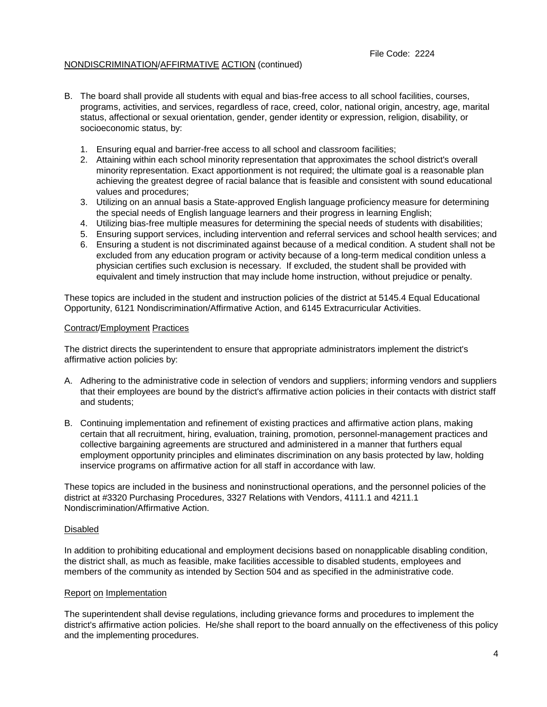# NONDISCRIMINATION/AFFIRMATIVE ACTION (continued)

- B. The board shall provide all students with equal and bias-free access to all school facilities, courses, programs, activities, and services, regardless of race, creed, color, national origin, ancestry, age, marital status, affectional or sexual orientation, gender, gender identity or expression, religion, disability, or socioeconomic status, by:
	- 1. Ensuring equal and barrier-free access to all school and classroom facilities;
	- 2. Attaining within each school minority representation that approximates the school district's overall minority representation. Exact apportionment is not required; the ultimate goal is a reasonable plan achieving the greatest degree of racial balance that is feasible and consistent with sound educational values and procedures;
	- 3. Utilizing on an annual basis a State-approved English language proficiency measure for determining the special needs of English language learners and their progress in learning English;
	- 4. Utilizing bias-free multiple measures for determining the special needs of students with disabilities;
	- 5. Ensuring support services, including intervention and referral services and school health services; and
	- 6. Ensuring a student is not discriminated against because of a medical condition. A student shall not be excluded from any education program or activity because of a long-term medical condition unless a physician certifies such exclusion is necessary. If excluded, the student shall be provided with equivalent and timely instruction that may include home instruction, without prejudice or penalty.

These topics are included in the student and instruction policies of the district at 5145.4 Equal Educational Opportunity, 6121 Nondiscrimination/Affirmative Action, and 6145 Extracurricular Activities.

#### Contract/Employment Practices

The district directs the superintendent to ensure that appropriate administrators implement the district's affirmative action policies by:

- A. Adhering to the administrative code in selection of vendors and suppliers; informing vendors and suppliers that their employees are bound by the district's affirmative action policies in their contacts with district staff and students;
- B. Continuing implementation and refinement of existing practices and affirmative action plans, making certain that all recruitment, hiring, evaluation, training, promotion, personnel-management practices and collective bargaining agreements are structured and administered in a manner that furthers equal employment opportunity principles and eliminates discrimination on any basis protected by law, holding inservice programs on affirmative action for all staff in accordance with law.

These topics are included in the business and noninstructional operations, and the personnel policies of the district at #3320 Purchasing Procedures, 3327 Relations with Vendors, 4111.1 and 4211.1 Nondiscrimination/Affirmative Action.

### Disabled

In addition to prohibiting educational and employment decisions based on nonapplicable disabling condition, the district shall, as much as feasible, make facilities accessible to disabled students, employees and members of the community as intended by Section 504 and as specified in the administrative code.

### Report on Implementation

The superintendent shall devise regulations, including grievance forms and procedures to implement the district's affirmative action policies. He/she shall report to the board annually on the effectiveness of this policy and the implementing procedures.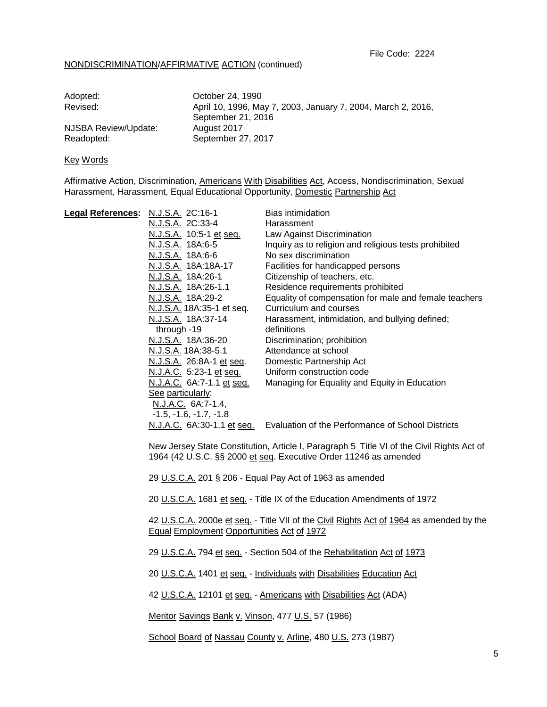## NONDISCRIMINATION/AFFIRMATIVE ACTION (continued)

| Adopted:             | October 24, 1990                                             |
|----------------------|--------------------------------------------------------------|
| Revised:             | April 10, 1996, May 7, 2003, January 7, 2004, March 2, 2016, |
|                      | September 21, 2016                                           |
| NJSBA Review/Update: | August 2017                                                  |
| Readopted:           | September 27, 2017                                           |

## Key Words

Affirmative Action, Discrimination, Americans With Disabilities Act, Access, Nondiscrimination, Sexual Harassment, Harassment, Equal Educational Opportunity, Domestic Partnership Act

| Legal References: N.J.S.A. 2C:16-1                                      |                                                                                                                                                               | <b>Bias intimidation</b>                                                     |
|-------------------------------------------------------------------------|---------------------------------------------------------------------------------------------------------------------------------------------------------------|------------------------------------------------------------------------------|
|                                                                         | N.J.S.A. 2C:33-4                                                                                                                                              | Harassment                                                                   |
|                                                                         | N.J.S.A. 10:5-1 et seq.                                                                                                                                       | Law Against Discrimination                                                   |
|                                                                         | N.J.S.A. 18A:6-5                                                                                                                                              | Inquiry as to religion and religious tests prohibited                        |
|                                                                         | N.J.S.A. 18A:6-6                                                                                                                                              | No sex discrimination                                                        |
|                                                                         | N.J.S.A. 18A:18A-17                                                                                                                                           | Facilities for handicapped persons                                           |
|                                                                         | N.J.S.A. 18A:26-1                                                                                                                                             | Citizenship of teachers, etc.                                                |
|                                                                         | N.J.S.A. 18A:26-1.1                                                                                                                                           | Residence requirements prohibited                                            |
|                                                                         | N.J.S.A. 18A:29-2                                                                                                                                             | Equality of compensation for male and female teachers                        |
|                                                                         | N.J.S.A. 18A:35-1 et seq.                                                                                                                                     | Curriculum and courses                                                       |
|                                                                         | N.J.S.A. 18A:37-14                                                                                                                                            | Harassment, intimidation, and bullying defined;                              |
|                                                                         | through -19                                                                                                                                                   | definitions                                                                  |
|                                                                         | N.J.S.A. 18A:36-20                                                                                                                                            | Discrimination; prohibition                                                  |
|                                                                         | N.J.S.A. 18A:38-5.1                                                                                                                                           | Attendance at school                                                         |
|                                                                         | <u>N.J.S.A.</u> 26:8A-1 <u>et seq</u> .                                                                                                                       | Domestic Partnership Act                                                     |
|                                                                         | <u>N.J.A.C.</u> 5:23-1 <u>et seq.</u>                                                                                                                         | Uniform construction code                                                    |
|                                                                         | N.J.A.C. 6A:7-1.1 et seq.                                                                                                                                     | Managing for Equality and Equity in Education                                |
|                                                                         | See particularly:                                                                                                                                             |                                                                              |
|                                                                         | N.J.A.C. 6A:7-1.4,                                                                                                                                            |                                                                              |
|                                                                         | $-1.5, -1.6, -1.7, -1.8$                                                                                                                                      |                                                                              |
|                                                                         |                                                                                                                                                               | N.J.A.C. 6A:30-1.1 et seq. Evaluation of the Performance of School Districts |
|                                                                         | New Jersey State Constitution, Article I, Paragraph 5 Title VI of the Civil Rights Act of<br>1964 (42 U.S.C. §§ 2000 et seq. Executive Order 11246 as amended |                                                                              |
| 29 U.S.C.A. 201 § 206 - Equal Pay Act of 1963 as amended                |                                                                                                                                                               |                                                                              |
| 20 U.S.C.A. 1681 et seq. - Title IX of the Education Amendments of 1972 |                                                                                                                                                               |                                                                              |
|                                                                         | 42 U.S.C.A. 2000e et seq. - Title VII of the Civil Rights Act of 1964 as amended by the<br><b>Equal Employment Opportunities Act of 1972</b>                  |                                                                              |
|                                                                         | 29 U.S.C.A. 794 et seq. - Section 504 of the Rehabilitation Act of 1973                                                                                       |                                                                              |
|                                                                         |                                                                                                                                                               | 20 U.S.C.A. 1401 et seq. - Individuals with Disabilities Education Act       |

42 U.S.C.A. 12101 et seq. - Americans with Disabilities Act (ADA)

Meritor Savings Bank v. Vinson, 477 U.S. 57 (1986)

School Board of Nassau County v. Arline, 480 U.S. 273 (1987)